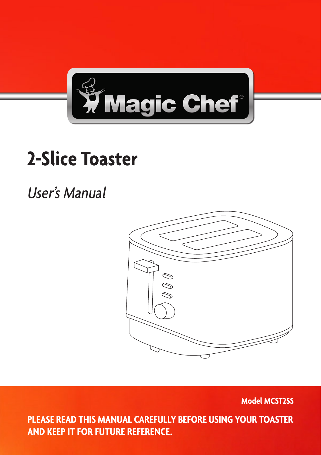

# **2-Slice Toaster**

## User's Manual



**Model MCST2SS**

1 **PLEASE READ THIS MANUAL CAREFULLY BEFORE USING YOUR TOASTER AND KEEP IT FOR FUTURE REFERENCE.**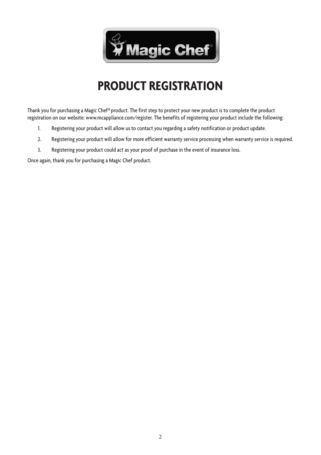

### **PRODUCT REGISTRATION**

Thank you for purchasing a Magic Chef® product. The first step to protect your new product is to complete the product registration on our website: www.mcappliance.com/register. The benefits of registering your product include the following:

- 1. Registering your product will allow us to contact you regarding a safety notification or product update.
- 2. Registering your product will allow for more efficient warranty service processing when warranty service is required.
- 3. Registering your product could act as your proof of purchase in the event of insurance loss.

Once again, thank you for purchasing a Magic Chef product.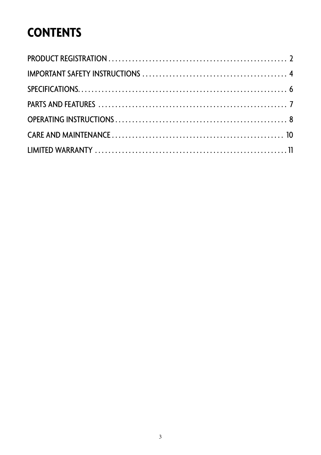## **CONTENTS**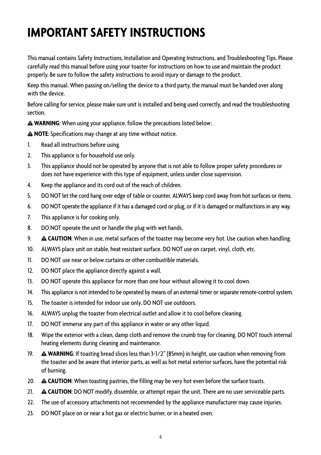## **IMPORTANT SAFETY INSTRUCTIONS**

This manual contains Safety Instructions, Installation and Operating Instructions, and Troubleshooting Tips. Please carefully read this manual before using your toaster for instructions on how to use and maintain the product properly. Be sure to follow the safety instructions to avoid injury or damage to the product.

Keep this manual. When passing on/selling the device to a third party, the manual must be handed over along with the device.

Before calling for service, please make sure unit is installed and being used correctly, and read the troubleshooting section.

**WARNING**: When using your appliance, follow the precautions listed below:

**NOTE**: Specifications may change at any time without notice.

- 1. Read all instructions before using.
- 2. This appliance is for household use only.
- 3. This appliance should not be operated by anyone that is not able to follow proper safety procedures or does not have experience with this type of equipment, unless under close supervision.
- 4. Keep the appliance and its cord out of the reach of children.
- 5. DO NOT let the cord hang over edge of table or counter. ALWAYS keep cord away from hot surfaces or items.
- 6. DO NOT operate the appliance if it has a damaged cord or plug, or if it is damaged or malfunctions in any way.
- 7. This appliance is for cooking only.
- 8. DO NOT operate the unit or handle the plug with wet hands.
- 9. **CAUTION**: When in use, metal surfaces of the toaster may become very hot. Use caution when handling.
- 10. ALWAYS place unit on stable, heat resistant surface. DO NOT use on carpet, vinyl, cloth, etc.
- 11. DO NOT use near or below curtains or other combustible materials.
- 12. DO NOT place the appliance directly against a wall.
- 13. DO NOT operate this appliance for more than one hour without allowing it to cool down.
- 14. This appliance is not intended to be operated by means of an external timer or separate remote-control system.
- 15. The toaster is intended for indoor use only. DO NOT use outdoors.
- 16. ALWAYS unplug the toaster from electrical outlet and allow it to cool before cleaning.
- 17. DO NOT immerse any part of this appliance in water or any other liquid.
- 18. Wipe the exterior with a clean, damp cloth and remove the crumb tray for cleaning. DO NOT touch internal heating elements during cleaning and maintenance.
- 19. **WARNING**: If toasting bread slices less than 3-1/2" (85mm) in height, use caution when removing from the toaster and be aware that interior parts, as well as hot metal exterior surfaces, have the potential risk of burning.
- 20. **CAUTION**: When toasting pastries, the filling may be very hot even before the surface toasts.
- 21. **CAUTION**: DO NOT modify, dissemble, or attempt repair the unit. There are no user serviceable parts.
- 22. The use of accessory attachments not recommended by the appliance manufacturer may cause injuries.
- 23. DO NOT place on or near a hot gas or electric burner, or in a heated oven.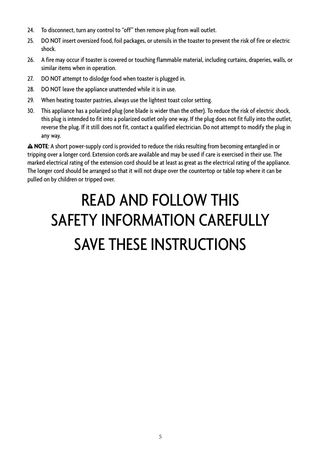- 24. To disconnect, turn any control to "off" then remove plug from wall outlet.
- 25. DO NOT insert oversized food, foil packages, or utensils in the toaster to prevent the risk of fire or electric shock.
- 26. A fire may occur if toaster is covered or touching flammable material, including curtains, draperies, walls, or similar items when in operation.
- 27. DO NOT attempt to dislodge food when toaster is plugged in.
- 28. DO NOT leave the appliance unattended while it is in use.
- 29. When heating toaster pastries, always use the lightest toast color setting.
- 30. This appliance has a polarized plug (one blade is wider than the other). To reduce the risk of electric shock, this plug is intended to fit into a polarized outlet only one way. If the plug does not fit fully into the outlet, reverse the plug. If it still does not fit, contact a qualified electrician. Do not attempt to modify the plug in any way.

**NOTE**: A short power-supply cord is provided to reduce the risks resulting from becoming entangled in or tripping over a longer cord. Extension cords are available and may be used if care is exercised in their use. The marked electrical rating of the extension cord should be at least as great as the electrical rating of the appliance. The longer cord should be arranged so that it will not drape over the countertop or table top where it can be pulled on by children or tripped over.

# READ AND FOLLOW THIS SAFFTY INFORMATION CARFFULLY SAVE THESE INSTRUCTIONS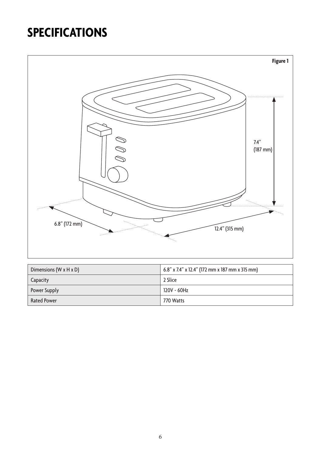## **SPECIFICATIONS**



| Dimensions (W $x$ H $x$ D) | 6.8" x 7.4" x 12.4" (172 mm x 187 mm x 315 mm) |
|----------------------------|------------------------------------------------|
| Capacity                   | 2 Slice                                        |
| Power Supply               | 120V ~ 60Hz                                    |
| <b>Rated Power</b>         | 770 Watts                                      |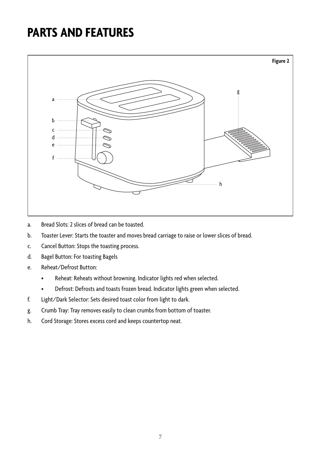### **PARTS AND FEATURES**



- a. Bread Slots: 2 slices of bread can be toasted.
- b. Toaster Lever: Starts the toaster and moves bread carriage to raise or lower slices of bread.
- c. Cancel Button: Stops the toasting process.
- d. Bagel Button: For toasting Bagels
- e. Reheat/Defrost Button:
	- • Reheat: Reheats without browning. Indicator lights red when selected.
	- • Defrost: Defrosts and toasts frozen bread. Indicator lights green when selected.
- f. Light/Dark Selector: Sets desired toast color from light to dark.
- g. Crumb Tray: Tray removes easily to clean crumbs from bottom of toaster.
- h. Cord Storage: Stores excess cord and keeps countertop neat.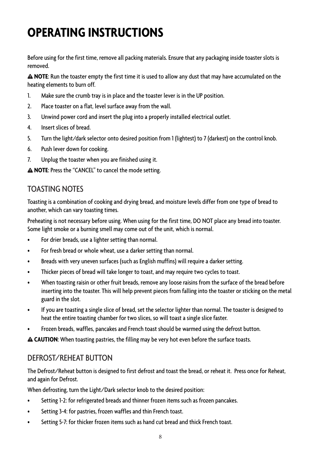## **OPERATING INSTRUCTIONS**

Before using for the first time, remove all packing materials. Ensure that any packaging inside toaster slots is removed.

**NOTE**: Run the toaster empty the first time it is used to allow any dust that may have accumulated on the heating elements to burn off.

- 1. Make sure the crumb tray is in place and the toaster lever is in the UP position.
- 2. Place toaster on a flat, level surface away from the wall.
- 3. Unwind power cord and insert the plug into a properly installed electrical outlet.
- 4. Insert slices of bread.
- 5. Turn the light/dark selector onto desired position from 1 (lightest) to 7 (darkest) on the control knob.
- 6. Push lever down for cooking.
- 7. Unplug the toaster when you are finished using it.

**NOTE**: Press the "CANCEL" to cancel the mode setting.

#### TOASTING NOTES

Toasting is a combination of cooking and drying bread, and moisture levels differ from one type of bread to another, which can vary toasting times.

Preheating is not necessary before using. When using for the first time, DO NOT place any bread into toaster. Some light smoke or a burning smell may come out of the unit, which is normal.

- For drier breads, use a lighter setting than normal.
- For fresh bread or whole wheat, use a darker setting than normal.
- Breads with very uneven surfaces (such as English muffins) will require a darker setting.
- Thicker pieces of bread will take longer to toast, and may require two cycles to toast.
- When toasting raisin or other fruit breads, remove any loose raisins from the surface of the bread before inserting into the toaster. This will help prevent pieces from falling into the toaster or sticking on the metal guard in the slot.
- • If you are toasting a single slice of bread, set the selector lighter than normal. The toaster is designed to heat the entire toasting chamber for two slices, so will toast a single slice faster.
- Frozen breads, waffles, pancakes and French toast should be warmed using the defrost button.

**CAUTION**: When toasting pastries, the filling may be very hot even before the surface toasts.

#### DEFROST/REHEAT BUTTON

The Defrost/Reheat button is designed to first defrost and toast the bread, or reheat it. Press once for Reheat, and again for Defrost.

When defrosting, turn the Light/Dark selector knob to the desired position:

- Setting 1-2: for refrigerated breads and thinner frozen items such as frozen pancakes.
- Setting 3-4: for pastries, frozen waffles and thin French toast.
- Setting 5-7: for thicker frozen items such as hand cut bread and thick French toast.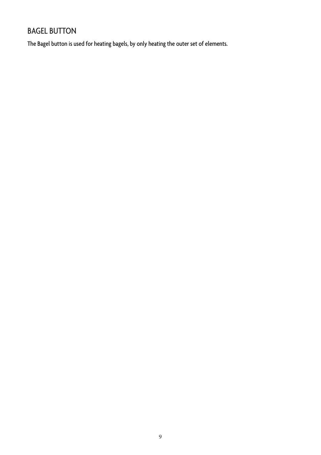#### BAGEL BUTTON

The Bagel button is used for heating bagels, by only heating the outer set of elements.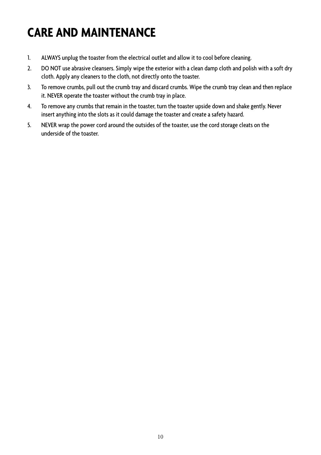## **CARE AND MAINTENANCE**

- 1. ALWAYS unplug the toaster from the electrical outlet and allow it to cool before cleaning.
- 2. DO NOT use abrasive cleansers. Simply wipe the exterior with a clean damp cloth and polish with a soft dry cloth. Apply any cleaners to the cloth, not directly onto the toaster.
- 3. To remove crumbs, pull out the crumb tray and discard crumbs. Wipe the crumb tray clean and then replace it. NEVER operate the toaster without the crumb tray in place.
- 4. To remove any crumbs that remain in the toaster, turn the toaster upside down and shake gently. Never insert anything into the slots as it could damage the toaster and create a safety hazard.
- 5. NEVER wrap the power cord around the outsides of the toaster, use the cord storage cleats on the underside of the toaster.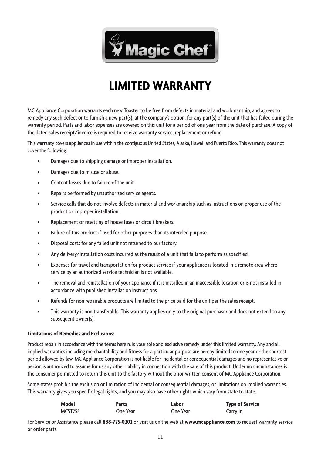

### **LIMITED WARRANTY**

MC Appliance Corporation warrants each new Toaster to be free from defects in material and workmanship, and agrees to remedy any such defect or to furnish a new part(s), at the company's option, for any part(s) of the unit that has failed during the warranty period. Parts and labor expenses are covered on this unit for a period of one year from the date of purchase. A copy of the dated sales receipt/invoice is required to receive warranty service, replacement or refund.

This warranty covers appliances in use within the contiguous United States, Alaska, Hawaii and Puerto Rico. This warranty does not cover the following:

- • Damages due to shipping damage or improper installation.
- Damages due to misuse or abuse.
- Content losses due to failure of the unit.
- Repairs performed by unauthorized service agents.
- Service calls that do not involve defects in material and workmanship such as instructions on proper use of the product or improper installation.
- Replacement or resetting of house fuses or circuit breakers.
- Failure of this product if used for other purposes than its intended purpose.
- Disposal costs for any failed unit not returned to our factory.
- Any delivery/installation costs incurred as the result of a unit that fails to perform as specified.
- Expenses for travel and transportation for product service if your appliance is located in a remote area where service by an authorized service technician is not available.
- The removal and reinstallation of your appliance if it is installed in an inaccessible location or is not installed in accordance with published installation instructions.
- • Refunds for non repairable products are limited to the price paid for the unit per the sales receipt.
- This warranty is non transferable. This warranty applies only to the original purchaser and does not extend to any subsequent owner(s).

#### **Limitations of Remedies and Exclusions:**

Product repair in accordance with the terms herein, is your sole and exclusive remedy under this limited warranty. Any and all implied warranties including merchantability and fitness for a particular purpose are hereby limited to one year or the shortest period allowed by law. MC Appliance Corporation is not liable for incidental or consequential damages and no representative or person is authorized to assume for us any other liability in connection with the sale of this product. Under no circumstances is the consumer permitted to return this unit to the factory without the prior written consent of MC Appliance Corporation.

Some states prohibit the exclusion or limitation of incidental or consequential damages, or limitations on implied warranties. This warranty gives you specific legal rights, and you may also have other rights which vary from state to state.

| Model                | Parts    | Labor    | <b>Type of Service</b> |
|----------------------|----------|----------|------------------------|
| MCST <sub>2</sub> SS | One Year | One Year | Carry In               |

For Service or Assistance please call **888-775-0202** or visit us on the web at **www.mcappliance.com** to request warranty service or order parts.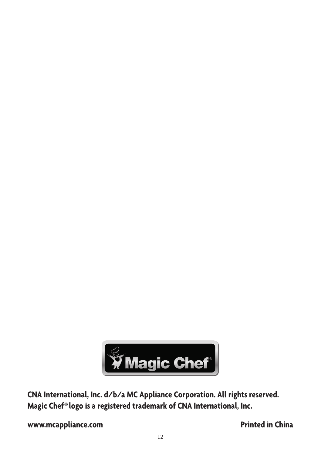

**CNA International, Inc. d/b/a MC Appliance Corporation. All rights reserved. Magic Chef® logo is a registered trademark of CNA International, Inc.**

**www.mcappliance.com Printed in China**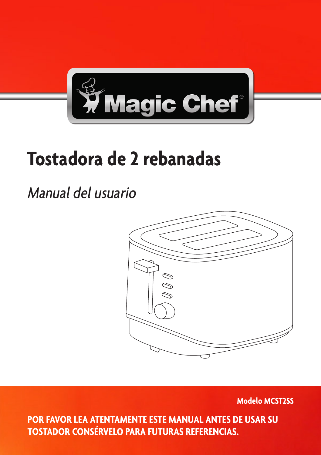

# **Tostadora de 2 rebanadas**

## Manual del usuario



**Modelo MCST2SS**

**POR FAVOR LEA ATENTAMENTE ESTE MANUAL ANTES DE USAR SU TOSTADOR CONSÉRVELO PARA FUTURAS REFERENCIAS.**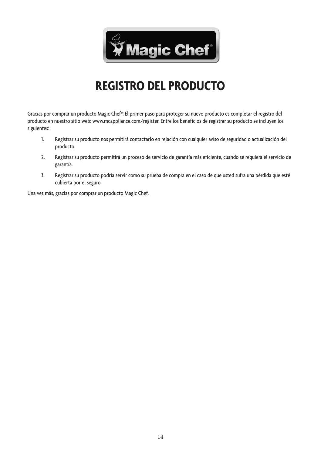

### **REGISTRO DEL PRODUCTO**

Gracias por comprar un producto Magic Chef®. El primer paso para proteger su nuevo producto es completar el registro del producto en nuestro sitio web: www.mcappliance.com/register. Entre los beneficios de registrar su producto se incluyen los siguientes:

- 1. Registrar su producto nos permitirá contactarlo en relación con cualquier aviso de seguridad o actualización del producto.
- 2. Registrar su producto permitirá un proceso de servicio de garantía más eficiente, cuando se requiera el servicio de garantía.
- 3. Registrar su producto podría servir como su prueba de compra en el caso de que usted sufra una pérdida que esté cubierta por el seguro.

Una vez más, gracias por comprar un producto Magic Chef.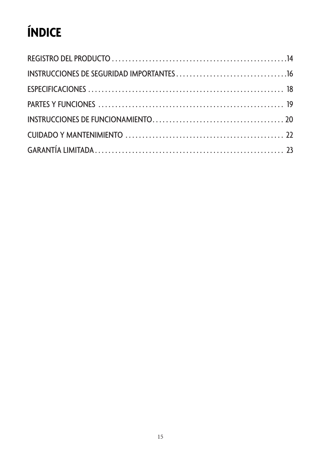## **ÍNDICE**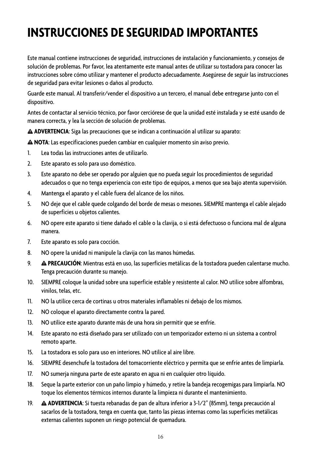## **INSTRUCCIONES DE SEGURIDAD IMPORTANTES**

Este manual contiene instrucciones de seguridad, instrucciones de instalación y funcionamiento, y consejos de solución de problemas. Por favor, lea atentamente este manual antes de utilizar su tostadora para conocer las instrucciones sobre cómo utilizar y mantener el producto adecuadamente. Asegúrese de seguir las instrucciones de seguridad para evitar lesiones o daños al producto.

Guarde este manual. Al transferir/vender el dispositivo a un tercero, el manual debe entregarse junto con el dispositivo.

Antes de contactar al servicio técnico, por favor cerciórese de que la unidad esté instalada y se esté usando de manera correcta, y lea la sección de solución de problemas.

**ADVERTENCIA**: Siga las precauciones que se indican a continuación al utilizar su aparato:

**NOTA**: Las especificaciones pueden cambiar en cualquier momento sin aviso previo.

- 1. Lea todas las instrucciones antes de utilizarlo.
- 2. Este aparato es solo para uso doméstico.
- 3. Este aparato no debe ser operado por alguien que no pueda seguir los procedimientos de seguridad adecuados o que no tenga experiencia con este tipo de equipos, a menos que sea bajo atenta supervisión.
- 4. Mantenga el aparato y el cable fuera del alcance de los niños.
- 5. NO deje que el cable quede colgando del borde de mesas o mesones. SIEMPRE mantenga el cable alejado de superficies u objetos calientes.
- 6. NO opere este aparato si tiene dañado el cable o la clavija, o si está defectuoso o funciona mal de alguna manera.
- 7. Este aparato es solo para cocción.
- 8. NO opere la unidad ni manipule la clavija con las manos húmedas.
- 9. **PRECAUCIÓN**: Mientras está en uso, las superficies metálicas de la tostadora pueden calentarse mucho. Tenga precaución durante su manejo.
- 10. SIEMPRE coloque la unidad sobre una superficie estable y resistente al calor. NO utilice sobre alfombras, vinilos, telas, etc.
- 11. NO la utilice cerca de cortinas u otros materiales inflamables ni debajo de los mismos.
- 12. NO coloque el aparato directamente contra la pared.
- 13. NO utilice este aparato durante más de una hora sin permitir que se enfríe.
- 14. Este aparato no está diseñado para ser utilizado con un temporizador externo ni un sistema a control remoto aparte.
- 15. La tostadora es solo para uso en interiores. NO utilice al aire libre.
- 16. SIEMPRE desenchufe la tostadora del tomacorriente eléctrico y permita que se enfríe antes de limpiarla.
- 17. NO sumerja ninguna parte de este aparato en agua ni en cualquier otro líquido.
- 18. Seque la parte exterior con un paño limpio y húmedo, y retire la bandeja recogemigas para limpiarla. NO toque los elementos térmicos internos durante la limpieza ni durante el mantenimiento.
- 19. **ADVERTENCIA**: Si tuesta rebanadas de pan de altura inferior a 3-1/2" (85mm), tenga precaución al sacarlos de la tostadora, tenga en cuenta que, tanto las piezas internas como las superficies metálicas externas calientes suponen un riesgo potencial de quemadura.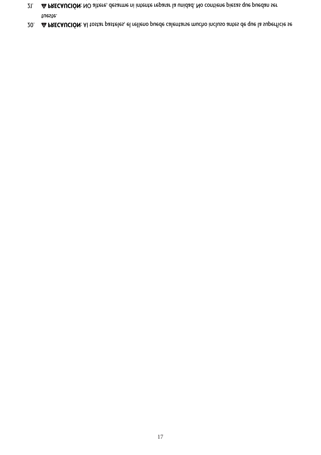17

- 20. **PRECAUCIÓN**: Al tostar pasteles, el relleno puede calentarse mucho incluso antes de que la superficie se tueste.
- 21. **PRECAUCIÓN**: NO altere, desarme ni intente reparar la unidad. No contiene piezas que puedan ser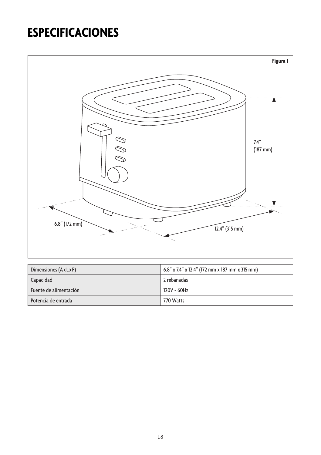## **ESPECIFICACIONES**



| Dimensiones (AxLxP)    | 6.8" x 7.4" x 12.4" (172 mm x 187 mm x 315 mm) |
|------------------------|------------------------------------------------|
| Capacidad              | 2 rebanadas                                    |
| Fuente de alimentación | 120V ~ 60Hz                                    |
| Potencia de entrada    | 770 Watts                                      |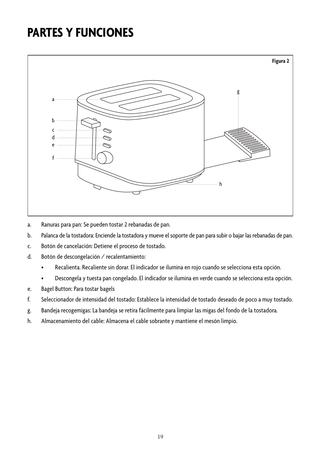### **PARTES Y FUNCIONES**



- a. Ranuras para pan: Se pueden tostar 2 rebanadas de pan.
- b. Palanca de la tostadora: Enciende la tostadora y mueve el soporte de pan para subir o bajar las rebanadas de pan.
- c. Botón de cancelación: Detiene el proceso de tostado.
- d. Botón de descongelación / recalentamiento:
	- • Recalienta. Recaliente sin dorar. El indicador se ilumina en rojo cuando se selecciona esta opción.
	- • Descongela y tuesta pan congelado. El indicador se ilumina en verde cuando se selecciona esta opción.
- e. Bagel Button: Para tostar bagels
- f. Seleccionador de intensidad del tostado: Establece la intensidad de tostado deseado de poco a muy tostado.
- g. Bandeja recogemigas: La bandeja se retira fácilmente para limpiar las migas del fondo de la tostadora.
- h. Almacenamiento del cable: Almacena el cable sobrante y mantiene el mesón limpio.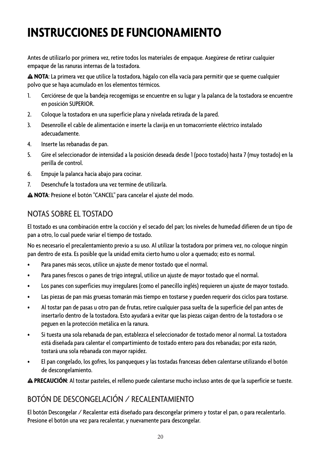## **INSTRUCCIONES DE FUNCIONAMIENTO**

Antes de utilizarlo por primera vez, retire todos los materiales de empaque. Asegúrese de retirar cualquier empaque de las ranuras internas de la tostadora.

**NOTA**: La primera vez que utilice la tostadora, hágalo con ella vacía para permitir que se queme cualquier polvo que se haya acumulado en los elementos térmicos.

- 1. Cerciórese de que la bandeja recogemigas se encuentre en su lugar y la palanca de la tostadora se encuentre en posición SUPERIOR.
- 2. Coloque la tostadora en una superficie plana y nivelada retirada de la pared.
- 3. Desenrolle el cable de alimentación e inserte la clavija en un tomacorriente eléctrico instalado adecuadamente.
- 4. Inserte las rebanadas de pan.
- 5. Gire el seleccionador de intensidad a la posición deseada desde 1 (poco tostado) hasta 7 (muy tostado) en la perilla de control.
- 6. Empuje la palanca hacia abajo para cocinar.
- 7. Desenchufe la tostadora una vez termine de utilizarla.

**NOTA**: Presione el botón "CANCEL" para cancelar el ajuste del modo.

#### NOTAS SOBRE EL TOSTADO

El tostado es una combinación entre la cocción y el secado del pan; los niveles de humedad difieren de un tipo de pan a otro, lo cual puede variar el tiempo de tostado.

No es necesario el precalentamiento previo a su uso. Al utilizar la tostadora por primera vez, no coloque ningún pan dentro de esta. Es posible que la unidad emita cierto humo u olor a quemado; esto es normal.

- • Para panes más secos, utilice un ajuste de menor tostado que el normal.
- • Para panes frescos o panes de trigo integral, utilice un ajuste de mayor tostado que el normal.
- • Los panes con superficies muy irregulares (como el panecillo inglés) requieren un ajuste de mayor tostado.
- Las piezas de pan más gruesas tomarán más tiempo en tostarse y pueden requerir dos ciclos para tostarse.
- • Al tostar pan de pasas u otro pan de frutas, retire cualquier pasa suelta de la superficie del pan antes de insertarlo dentro de la tostadora. Esto ayudará a evitar que las piezas caigan dentro de la tostadora o se peguen en la protección metálica en la ranura.
- • Si tuesta una sola rebanada de pan, establezca el seleccionador de tostado menor al normal. La tostadora está diseñada para calentar el compartimiento de tostado entero para dos rebanadas; por esta razón, tostará una sola rebanada con mayor rapidez.
- • El pan congelado, los gofres, los panqueques y las tostadas francesas deben calentarse utilizando el botón de descongelamiento.

**PRECAUCIÓN**: Al tostar pasteles, el relleno puede calentarse mucho incluso antes de que la superficie se tueste.

#### BOTÓN DE DESCONGELACIÓN / RECALENTAMIENTO

El botón Descongelar / Recalentar está diseñado para descongelar primero y tostar el pan, o para recalentarlo. Presione el botón una vez para recalentar, y nuevamente para descongelar.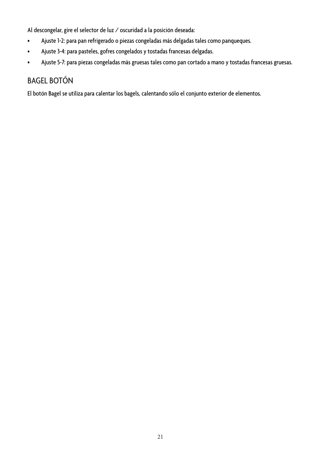Al descongelar, gire el selector de luz / oscuridad a la posición deseada:

- • Ajuste 1-2: para pan refrigerado o piezas congeladas más delgadas tales como panqueques.
- • Ajuste 3-4: para pasteles, gofres congelados y tostadas francesas delgadas.
- • Ajuste 5-7: para piezas congeladas más gruesas tales como pan cortado a mano y tostadas francesas gruesas.

#### BAGEL BOTÓN

El botón Bagel se utiliza para calentar los bagels, calentando sólo el conjunto exterior de elementos.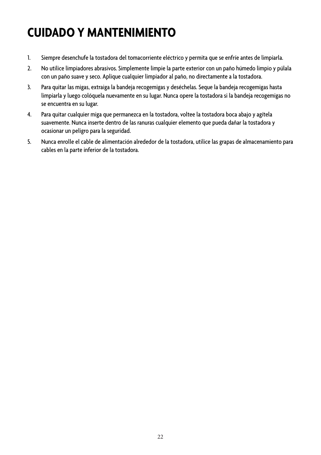## **CUIDADO Y MANTENIMIENTO**

- 1. Siempre desenchufe la tostadora del tomacorriente eléctrico y permita que se enfríe antes de limpiarla.
- 2. No utilice limpiadores abrasivos. Simplemente limpie la parte exterior con un paño húmedo limpio y púlala con un paño suave y seco. Aplique cualquier limpiador al paño, no directamente a la tostadora.
- 3. Para quitar las migas, extraiga la bandeja recogemigas y deséchelas. Seque la bandeja recogemigas hasta limpiarla y luego colóquela nuevamente en su lugar. Nunca opere la tostadora si la bandeja recogemigas no se encuentra en su lugar.
- 4. Para quitar cualquier miga que permanezca en la tostadora, voltee la tostadora boca abajo y agítela suavemente. Nunca inserte dentro de las ranuras cualquier elemento que pueda dañar la tostadora y ocasionar un peligro para la seguridad.
- 5. Nunca enrolle el cable de alimentación alrededor de la tostadora, utilice las grapas de almacenamiento para cables en la parte inferior de la tostadora.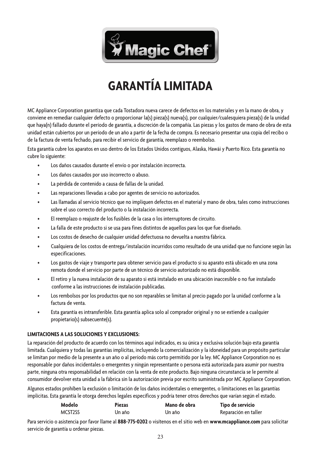

## **GARANTÍA LIMITADA**

MC Appliance Corporation garantiza que cada Tostadora nueva carece de defectos en los materiales y en la mano de obra, y conviene en remediar cualquier defecto o proporcionar la(s) pieza(s) nueva(s), por cualquier/cualesquiera pieza(s) de la unidad que haya(n) fallado durante el período de garantía, a discreción de la compañía. Las piezas y los gastos de mano de obra de esta unidad están cubiertos por un período de un año a partir de la fecha de compra. Es necesario presentar una copia del recibo o de la factura de venta fechado, para recibir el servicio de garantía, reemplazo o reembolso.

Esta garantía cubre los aparatos en uso dentro de los Estados Unidos contiguos, Alaska, Hawái y Puerto Rico. Esta garantía no cubre lo siguiente:

- Los daños causados durante el envío o por instalación incorrecta.
- Los daños causados por uso incorrecto o abuso.
- La pérdida de contenido a causa de fallas de la unidad.
- Las reparaciones llevadas a cabo por agentes de servicio no autorizados.
- Las llamadas al servicio técnico que no impliquen defectos en el material y mano de obra, tales como instrucciones sobre el uso correcto del producto o la instalación incorrecta.
- El reemplazo o reajuste de los fusibles de la casa o los interruptores de circuito.
- La falla de este producto si se usa para fines distintos de aquellos para los que fue diseñado.
- Los costos de desecho de cualquier unidad defectuosa no devuelta a nuestra fábrica.
- Cualquiera de los costos de entrega/instalación incurridos como resultado de una unidad que no funcione según las especificaciones.
- Los gastos de viaje y transporte para obtener servicio para el producto si su aparato está ubicado en una zona remota donde el servicio por parte de un técnico de servicio autorizado no está disponible.
- El retiro y la nueva instalación de su aparato si está instalado en una ubicación inaccesible o no fue instalado conforme a las instrucciones de instalación publicadas.
- Los rembolsos por los productos que no son reparables se limitan al precio pagado por la unidad conforme a la factura de venta.
- Esta garantía es intransferible. Esta garantía aplica solo al comprador original y no se extiende a cualquier propietario(s) subsecuente(s).

#### **LIMITACIONES A LAS SOLUCIONES Y EXCLUSIONES:**

La reparación del producto de acuerdo con los términos aquí indicados, es su única y exclusiva solución bajo esta garantía limitada. Cualquiera y todas las garantías implícitas, incluyendo la comercialización y la idoneidad para un propósito particular se limitan por medio de la presente a un año o al período más corto permitido por la ley. MC Appliance Corporation no es responsable por daños incidentales o emergentes y ningún representante o persona está autorizada para asumir por nuestra parte, ninguna otra responsabilidad en relación con la venta de este producto. Bajo ninguna circunstancia se le permite al consumidor devolver esta unidad a la fábrica sin la autorización previa por escrito suministrada por MC Appliance Corporation.

Algunos estados prohíben la exclusión o limitación de los daños incidentales o emergentes, o limitaciones en las garantías implícitas. Esta garantía le otorga derechos legales específicos y podría tener otros derechos que varían según el estado.

| Modelo  | Piezas | Mano de obra | Tipo de servicio     |
|---------|--------|--------------|----------------------|
| MCST2SS | Un año | Un año       | Reparación en taller |

Para servicio o asistencia por favor llame al **888-775-0202** o visítenos en el sitio web en **www.mcappliance.com** para solicitar servicio de garantía u ordenar piezas.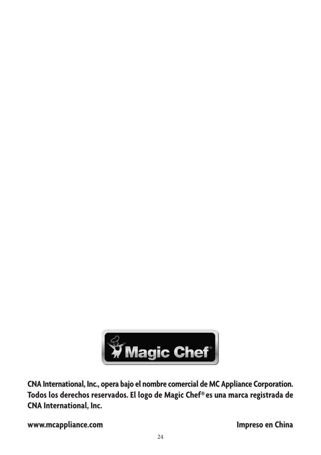

**CNA International, Inc., opera bajo el nombre comercial de MC Appliance Corporation. Todos los derechos reservados. El logo de Magic Chef® es una marca registrada de CNA International, Inc.**

**www.mcappliance.com Impreso en China**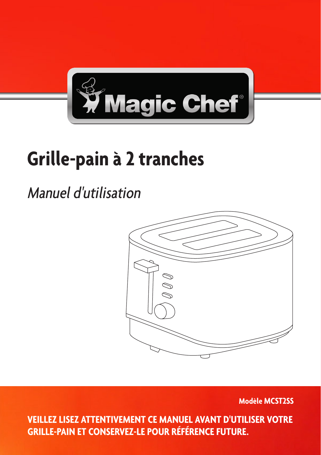

# **Grille-pain à 2 tranches**

## Manuel d'utilisation



**Modèle MCST2SS**

25 **VEILLEZ LISEZ ATTENTIVEMENT CE MANUEL AVANT D'UTILISER VOTRE GRILLE-PAIN ET CONSERVEZ-LE POUR RÉFÉRENCE FUTURE.**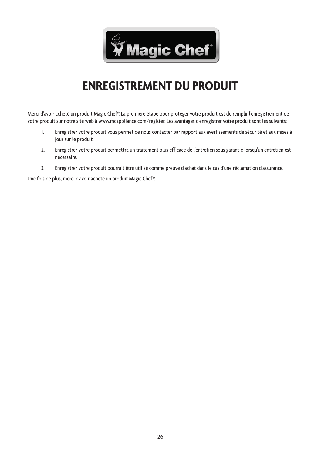

### **ENREGISTREMENT DU PRODUIT**

Merci d'avoir acheté un produit Magic Chef®. La première étape pour protéger votre produit est de remplir l'enregistrement de votre produit sur notre site web à www.mcappliance.com/register. Les avantages d'enregistrer votre produit sont les suivants:

- 1. Enregistrer votre produit vous permet de nous contacter par rapport aux avertissements de sécurité et aux mises à jour sur le produit.
- 2. Enregistrer votre produit permettra un traitement plus efficace de l'entretien sous garantie lorsqu'un entretien est nécessaire.
- 3. Enregistrer votre produit pourrait être utilisé comme preuve d'achat dans le cas d'une réclamation d'assurance.

Une fois de plus, merci d'avoir acheté un produit Magic Chef®.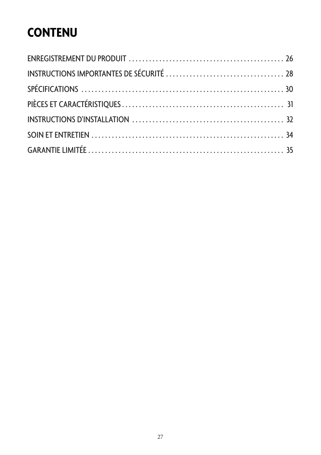## **CONTENU**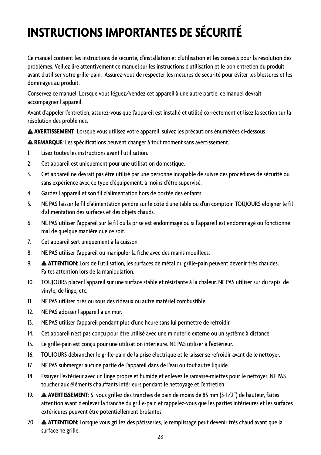## **INSTRUCTIONS IMPORTANTES DE SÉCURITÉ**

Ce manuel contient les instructions de sécurité, d'installation et d'utilisation et les conseils pour la résolution des problèmes. Veillez lire attentivement ce manuel sur les instructions d'utilisation et le bon entretien du produit avant d'utiliser votre grille-pain. Assurez-vous de respecter les mesures de sécurité pour éviter les blessures et les dommages au produit.

Conservez ce manuel. Lorsque vous léguez/vendez cet appareil à une autre partie, ce manuel devrait accompagner l'appareil.

Avant d'appeler l'entretien, assurez-vous que l'appareil est installé et utilisé correctement et lisez la section sur la résolution des problèmes.

**AVERTISSEMENT**: Lorsque vous utilisez votre appareil, suivez les précautions énumérées ci-dessous :

**REMARQUE**: Les spécifications peuvent changer à tout moment sans avertissement.

- 1. Lisez toutes les instructions avant l'utilisation.
- 2. Cet appareil est uniquement pour une utilisation domestique.
- 3. Cet appareil ne devrait pas être utilisé par une personne incapable de suivre des procédures de sécurité ou sans expérience avec ce type d'équipement, à moins d'être supervisé.
- 4. Gardez l'appareil et son fil d'alimentation hors de portée des enfants.
- 5. NE PAS laisser le fil d'alimentation pendre sur le côté d'une table ou d'un comptoir. TOUJOURS éloigner le fil d'alimentation des surfaces et des objets chauds.
- 6. NE PAS utiliser l'appareil sur le fil ou la prise est endommagé ou si l'appareil est endommagé ou fonctionne mal de quelque manière que ce soit.
- 7. Cet appareil sert uniquement à la cuisson.
- 8. NE PAS utiliser l'appareil ou manipuler la fiche avec des mains mouillées.
- 9. **ATTENTION**: Lors de l'utilisation, les surfaces de métal du grille-pain peuvent devenir très chaudes. Faites attention lors de la manipulation.
- 10. TOUJOURS placer l'appareil sur une surface stable et résistante à la chaleur. NE PAS utiliser sur du tapis, de vinyle, de linge, etc.
- 11. NE PAS utiliser près ou sous des rideaux ou autre matériel combustible.
- 12. NE PAS adosser l'appareil à un mur.
- 13. NE PAS utiliser l'appareil pendant plus d'une heure sans lui permettre de refroidir.
- 14. Cet appareil n'est pas conçu pour être utilisé avec une minuterie externe ou un système à distance.
- 15. Le grille-pain est conçu pour une utilisation intérieure. NE PAS utiliser à l'extérieur.
- 16. TOUJOURS débrancher le grille-pain de la prise électrique et le laisser se refroidir avant de le nettoyer.
- 17. NE PAS submerger aucune partie de l'appareil dans de l'eau ou tout autre liquide.
- 18. Essuyez l'extérieur avec un linge propre et humide et enlevez le ramasse-miettes pour le nettoyer. NE PAS toucher aux éléments chauffants intérieurs pendant le nettoyage et l'entretien.
- 19. **AVERTISSEMENT**: Si vous grillez des tranches de pain de moins de 85 mm (3-1/2") de hauteur, faites attention avant d'enlever la tranche du grille-pain et rappelez-vous que les parties intérieures et les surfaces extérieures peuvent être potentiellement brulantes.
- 20. **ATTENTION**: Lorsque vous grillez des pâtisseries, le remplissage peut devenir très chaud avant que la surface ne grille.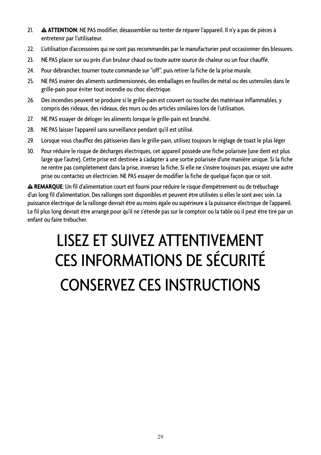- 21. **ATTENTION**: NE PAS modifier, désassembler ou tenter de réparer l'appareil. Il n'y a pas de pièces à entretenir par l'utilisateur.
- 22. L'utilisation d'accessoires qui ne sont pas recommandés par le manufacturier peut occasionner des blessures.
- 23. NE PAS placer sur ou près d'un bruleur chaud ou toute autre source de chaleur ou un four chauffé.
- 24. Pour débrancher, tourner toute commande sur "off", puis retirer la fiche de la prise murale.
- 25. NE PAS insérer des aliments surdimensionnés, des emballages en feuilles de métal ou des ustensiles dans le grille-pain pour éviter tout incendie ou choc électrique.
- 26. Des incendies peuvent se produire si le grille-pain est couvert ou touche des matériaux inflammables, y compris des rideaux, des rideaux, des murs ou des articles similaires lors de l'utilisation.
- 27. NE PAS essayer de déloger les aliments lorsque le grille-pain est branché.
- 28. NE PAS laisser l'appareil sans surveillance pendant qu'il est utilisé.
- 29. Lorsque vous chauffez des pâtisseries dans le grille-pain, utilisez toujours le réglage de toast le plus léger
- 30. Pour réduire le risque de décharges électriques, cet appareil possède une fiche polarisée (une dent est plus large que l'autre). Cette prise est destinée à s'adapter à une sortie polarisée d'une manière unique. Si la fiche ne rentre pas complètement dans la prise, inversez la fiche. Si elle ne s'insère toujours pas, essayez une autre prise ou contactez un électricien. NE PAS essayer de modifier la fiche de quelque façon que ce soit.

**REMARQUE**: Un fil d'alimentation court est fourni pour réduire le risque d'empêtrement ou de trébuchage d'un long fil d'alimentation. Des rallonges sont disponibles et peuvent être utilisées si elles le sont avec soin. La puissance électrique de la rallonge devrait être au moins égale ou supérieure à la puissance électrique de l'appareil. Le fil plus long devrait être arrangé pour qu'il ne s'étende pas sur le comptoir ou la table où il peut être tiré par un enfant ou faire trébucher.

# LISEZ ET SUIVEZ ATTENTIVEMENT CES INFORMATIONS DE SÉCURITÉ CONSERVEZ CES INSTRUCTIONS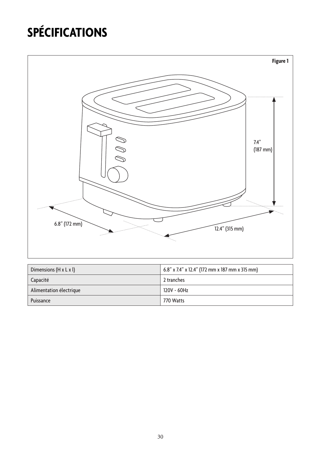## **SPÉCIFICATIONS**



| Dimensions $(H \times L \times I)$ | $6.8$ " x 7.4" x 12.4" (172 mm x 187 mm x 315 mm) |
|------------------------------------|---------------------------------------------------|
| Capacité                           | 2 tranches                                        |
| Alimentation électrique            | 120V ~ 60Hz                                       |
| Puissance                          | 770 Watts                                         |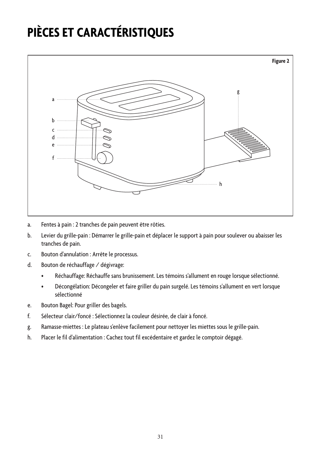## **PIÈCES ET CARACTÉRISTIQUES**



- a. Fentes à pain : 2 tranches de pain peuvent être rôties.
- b. Levier du grille-pain : Démarrer le grille-pain et déplacer le support à pain pour soulever ou abaisser les tranches de pain.
- c. Bouton d'annulation : Arrête le processus.
- d. Bouton de réchauffage / dégivrage:
	- Réchauffage: Réchauffe sans brunissement. Les témoins s'allument en rouge lorsque sélectionné.
	- Décongélation: Décongeler et faire griller du pain surgelé. Les témoins s'allument en vert lorsque sélectionné
- e. Bouton Bagel: Pour griller des bagels.
- f. Sélecteur clair/foncé : Sélectionnez la couleur désirée, de clair à foncé.
- g. Ramasse-miettes : Le plateau s'enlève facilement pour nettoyer les miettes sous le grille-pain.
- h. Placer le fil d'alimentation : Cachez tout fil excédentaire et gardez le comptoir dégagé.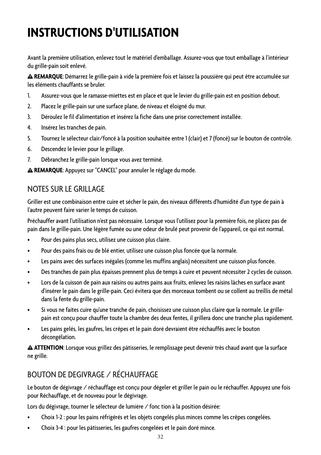## **INSTRUCTIONS D'UTILISATION**

Avant la première utilisation, enlevez tout le matériel d'emballage. Assurez-vous que tout emballage à l'intérieur du grille-pain soit enlevé.

**REMARQUE**: Démarrez le grille-pain à vide la première fois et laissez la poussière qui peut être accumulée sur les éléments chauffants se bruler.

- 1. Assurez-vous que le ramasse-miettes est en place et que le levier du grille-pain est en position debout.
- 2. Placez le grille-pain sur une surface plane, de niveau et éloigné du mur.
- 3. Déroulez le fil d'alimentation et insérez la fiche dans une prise correctement installée.
- 4. Insérez les tranches de pain.
- 5. Tournez le sélecteur clair/foncé à la position souhaitée entre 1 (clair) et 7 (foncé) sur le bouton de contrôle.
- 6. Descendez le levier pour le grillage.
- 7. Débranchez le grille-pain lorsque vous avez terminé.

**REMARQUE**: Appuyez sur "CANCEL" pour annuler le réglage du mode.

#### NOTES SUR LE GRILLAGE

Griller est une combinaison entre cuire et sécher le pain, des niveaux différents d'humidité d'un type de pain à l'autre peuvent faire varier le temps de cuisson.

Préchauffer avant l'utilisation n'est pas nécessaire. Lorsque vous l'utilisez pour la première fois, ne placez pas de pain dans le grille-pain. Une légère fumée ou une odeur de brulé peut provenir de l'appareil, ce qui est normal.

- • Pour des pains plus secs, utilisez une cuisson plus claire.
- • Pour des pains frais ou de blé entier, utilisez une cuisson plus foncée que la normale.
- • Les pains avec des surfaces inégales (comme les muffins anglais) nécessitent une cuisson plus foncée.
- Des tranches de pain plus épaisses prennent plus de temps à cuire et peuvent nécessiter 2 cycles de cuisson.
- • Lors de la cuisson de pain aux raisins ou autres pains aux fruits, enlevez les raisins lâches en surface avant d'insérer le pain dans le grille-pain. Ceci évitera que des morceaux tombent ou se collent au treillis de métal dans la fente du grille-pain.
- • Si vous ne faites cuire qu'une tranche de pain, choisissez une cuisson plus claire que la normale. Le grillepain est conçu pour chauffer toute la chambre des deux fentes, il grillera donc une tranche plus rapidement.
- Les pains gelés, les gaufres, les crêpes et le pain doré devraient être réchauffés avec le bouton décongélation.

**ATTENTION**: Lorsque vous grillez des pâtisseries, le remplissage peut devenir très chaud avant que la surface ne grille.

#### BOUTON DE DEGIVRAGE / RÉCHAUFFAGE

Le bouton de dégivrage / réchauffage est conçu pour dégeler et griller le pain ou le réchauffer. Appuyez une fois pour Réchauffage, et de nouveau pour le dégivrage.

Lors du dégivrage, tourner le sélecteur de lumière / fonc tion à la position désirée:

- Choix 1-2 : pour les pains réfrigérés et les objets congelés plus minces comme les crêpes congelées.
- Choix 3-4 : pour les pâtisseries, les gaufres congelées et le pain doré mince.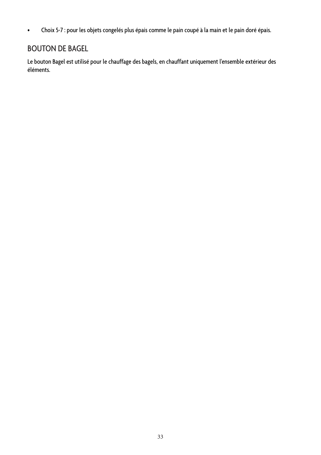• Choix 5-7 : pour les objets congelés plus épais comme le pain coupé à la main et le pain doré épais.

#### BOUTON DE BAGEL

Le bouton Bagel est utilisé pour le chauffage des bagels, en chauffant uniquement l'ensemble extérieur des éléments.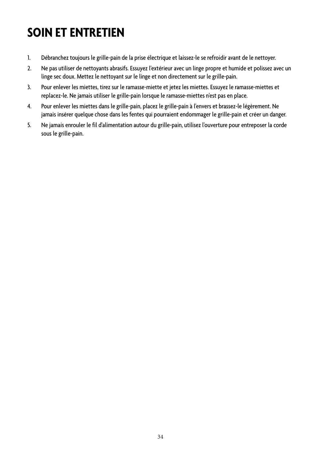## **SOIN ET ENTRETIEN**

- 1. Débranchez toujours le grille-pain de la prise électrique et laissez-le se refroidir avant de le nettoyer.
- 2. Ne pas utiliser de nettoyants abrasifs. Essuyez l'extérieur avec un linge propre et humide et polissez avec un linge sec doux. Mettez le nettoyant sur le linge et non directement sur le grille-pain.
- 3. Pour enlever les miettes, tirez sur le ramasse-miette et jetez les miettes. Essuyez le ramasse-miettes et replacez-le. Ne jamais utiliser le grille-pain lorsque le ramasse-miettes n'est pas en place.
- 4. Pour enlever les miettes dans le grille-pain, placez le grille-pain à l'envers et brassez-le légèrement. Ne jamais insérer quelque chose dans les fentes qui pourraient endommager le grille-pain et créer un danger.
- 5. Ne jamais enrouler le fil d'alimentation autour du grille-pain, utilisez l'ouverture pour entreposer la corde sous le grille-pain.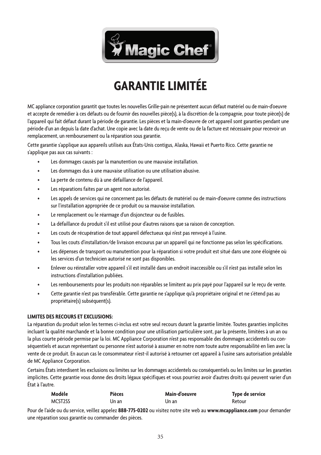

## **GARANTIE LIMITÉE**

MC appliance corporation garantit que toutes les nouvelles Grille-pain ne présentent aucun défaut matériel ou de main-d'oeuvre et accepte de remédier à ces défauts ou de fournir des nouvelles pièce(s), à la discrétion de la compagnie, pour toute pièce(s) de l'appareil qui fait défaut durant la période de garantie. Les pièces et la main-d'oeuvre de cet appareil sont garanties pendant une période d'un an depuis la date d'achat. Une copie avec la date du reçu de vente ou de la facture est nécessaire pour recevoir un remplacement, un remboursement ou la réparation sous garantie.

Cette garantie s'applique aux appareils utilisés aux États-Unis contigus, Alaska, Hawaii et Puerto Rico. Cette garantie ne s'applique pas aux cas suivants :

- Les dommages causés par la manutention ou une mauvaise installation.
- Les dommages dus à une mauvaise utilisation ou une utilisation abusive.
- La perte de contenu dû à une défaillance de l'appareil.
- Les réparations faites par un agent non autorisé.
- Les appels de services qui ne concernent pas les défauts de matériel ou de main-d'oeuvre comme des instructions sur l'installation appropriée de ce produit ou sa mauvaise installation.
- Le remplacement ou le réarmage d'un disjoncteur ou de fusibles.
- La défaillance du produit s'il est utilisé pour d'autres raisons que sa raison de conception.
- Les couts de récupération de tout appareil défectueux qui n'est pas renvoyé à l'usine.
- Tous les couts d'installation/de livraison encourus par un appareil qui ne fonctionne pas selon les spécifications.
- Les dépenses de transport ou manutention pour la réparation si votre produit est situé dans une zone éloignée où les services d'un technicien autorisé ne sont pas disponibles.
- Enlever ou réinstaller votre appareil s'il est installé dans un endroit inaccessible ou s'il n'est pas installé selon les instructions d'installation publiées.
- Les remboursements pour les produits non réparables se limitent au prix payé pour l'appareil sur le reçu de vente.
- Cette garantie n'est pas transférable. Cette garantie ne s'applique qu'à propriétaire original et ne s'étend pas au propriétaire(s) subséquent(s).

#### **LIMITES DES RECOURS ET EXCLUSIONS:**

La réparation du produit selon les termes ci-inclus est votre seul recours durant la garantie limitée. Toutes garanties implicites incluant la qualité marchande et la bonne condition pour une utilisation particulière sont, par la présente, limitées à un an ou la plus courte période permise par la loi. MC Appliance Corporation n'est pas responsable des dommages accidentels ou conséquentiels et aucun représentant ou personne n'est autorisé à assumer en notre nom toute autre responsabilité en lien avec la vente de ce produit. En aucun cas le consommateur n'est-il autorisé à retourner cet appareil à l'usine sans autorisation préalable de MC Appliance Corporation.

Certains États interdisent les exclusions ou limites sur les dommages accidentels ou conséquentiels ou les limites sur les garanties implicites. Cette garantie vous donne des droits légaux spécifiques et vous pourriez avoir d'autres droits qui peuvent varier d'un État à l'autre.

| Modèle  | Pièces | Main-d'oeuvre | Type de service |
|---------|--------|---------------|-----------------|
| MCST2SS | Un an  | Un an         | Retour          |

Pour de l'aide ou du service, veillez appelez **888-775-0202** ou visitez notre site web au **www.mcappliance.com** pour demander une réparation sous garantie ou commander des pièces.